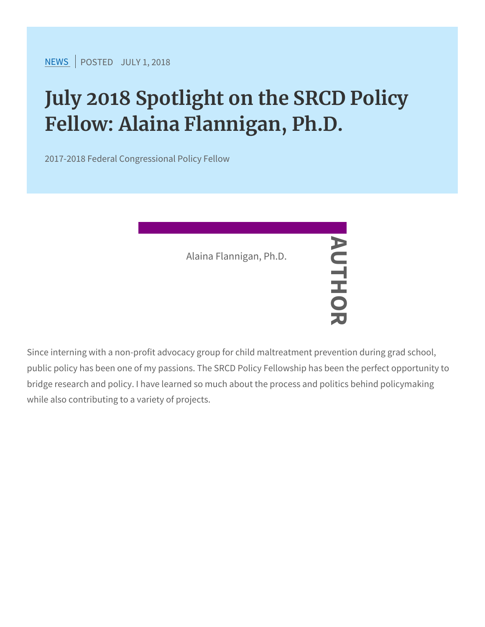$NEW$ SPOSTEDDLY 1, 2018

## July 2018 Spotlight on the SRCD Fellow: Alaina Flannigan, Ph.D.

2017-2018 Federal Congressional Policy Fellow

Since interning with a non-profit advocacy group for child maltreatr public policy has been one of my passions. The SRCD Policy Fellow bridge research and policy. I have learned so much about the proce while also contributing to a variety of projects. Alaina Flannigan, P.P.D.<br>
—<br>
—<br>
non-profit advocacy group<br>
one of my passions. THE S